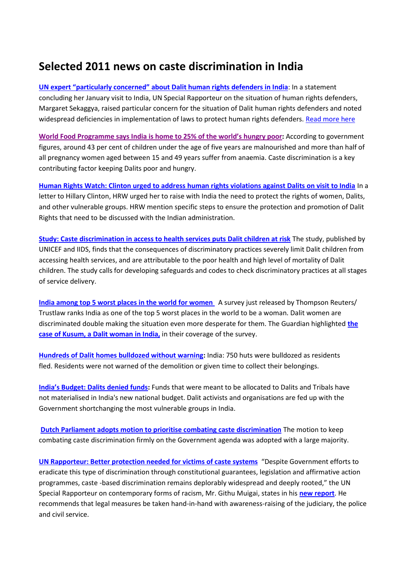## **Selected 2011 news on caste discrimination in India**

**UN expert "particularly concerned" [about Dalit human rights defenders in India](http://idsn.org/news-resources/idsn-news/read/article/un-special-rapporteur-particularly-concerned-about-dalit-human-rights-defenders-in-india/128/)**: In a statement concluding her January visit to India, UN Special Rapporteur on the situation of human rights defenders, Margaret Sekaggya, raised particular concern for the situation of Dalit human rights defenders and noted widespread deficiencies in implementation of laws to protect human rights defenders. [Read more here](http://idsn.org/news-resources/idsn-news/read/article/un-special-rapporteur-particularly-concerned-about-dalit-human-rights-defenders-in-india/128/)

**[World Food Programme says India](http://www.wfp.org/countries/India/Overview) is home to 25% of the world's hungry poor:** According to government figures, around 43 per cent of children under the age of five years are malnourished and more than half of all pregnancy women aged between 15 and 49 years suffer from anaemia. Caste discrimination is a key contributing factor keeping Dalits poor and hungry.

**[Human Rights Watch: Clinton urged to address human rights violations against Dalits on visit to India](http://idsn.org/news-resources/idsn-news/read/article/human-rights-watch-clinton-urged-to-address-human-rights-violations-against-dalits-on-visit-to-indi/128/)** In a letter to Hillary Clinton, HRW urged her to raise with India the need to protect the rights of women, Dalits, and other vulnerable groups. HRW mention specific steps to ensure the protection and promotion of Dalit Rights that need to be discussed with the Indian administration.

**[Study: Caste discrimination in access to health services puts Dalit children at risk](http://writingcaste.wordpress.com/2011/06/21/caste-discrimination-in-access-to-health-care-a-study-of-dalit-children/)** The study, published by UNICEF and IIDS, finds that the consequences of discriminatory practices severely limit Dalit children from accessing health services, and are attributable to the poor health and high level of mortality of Dalit children. The study calls for developing safeguards and codes to check discriminatory practices at all stages of service delivery.

**[India among top 5 worst places in the world for women](http://www.guardian.co.uk/world/2011/jun/14/worst-places-in-the-world-for-women-india?INTCMP=SRCH)** A survey just released by Thompson Reuters/ Trustlaw ranks India as one of the top 5 worst places in the world to be a woman. Dalit women are discriminated double making the situation even more desperate for them. The Guardian highlighted **[the](http://www.guardian.co.uk/world/2011/jun/14/worst-places-in-the-world-for-women-india?INTCMP=SRCH)  [case of Kusum, a Dalit woman in India,](http://www.guardian.co.uk/world/2011/jun/14/worst-places-in-the-world-for-women-india?INTCMP=SRCH)** in their coverage of the survey.

**[Hundreds of Dalit homes bulldozed without warning:](http://idsn.org/news-resources/idsn-news/read/article/hundreds-of-dalit-homes-bulldozed-without-warning/128/)** India: 750 huts were bulldozed as residents fled. Residents were not warned of the demolition or given time to collect their belongings.

**[India's Budget: Dalits denied funds](http://idsn.org/news-resources/idsn-news/read/article/indias-national-budget-dalits-again-denied-funds-that-should-have-been-allocated-to-them/128/):** Funds that were meant to be allocated to Dalits and Tribals have not materialised in India's new national budget. Dalit activists and organisations are fed up with the Government shortchanging the most vulnerable groups in India.

**[Dutch Parliament adopts motion to prioritise combating caste discrimination](http://www.dalits.nl/pdf/pb110701e.pdf)** The motion to keep combating caste discrimination firmly on the Government agenda was adopted with a large majority.

**[UN Rapporteur: Better protection needed for victims of caste systems](http://idsn.org/news-resources/idsn-news/read/article/un-better-protection-against-discrimination-for-roma-and-victims-of-caste-systems/128/)** "Despite Government efforts to eradicate this type of discrimination through constitutional guarantees, legislation and affirmative action programmes, caste -based discrimination remains deplorably widespread and deeply rooted," the UN Special Rapporteur on contemporary forms of racism, Mr. Githu Muigai, states in his **[new report](http://idsn.org/news-resources/idsn-news/read/article/un-better-protection-against-discrimination-for-roma-and-victims-of-caste-systems/128/)**. He recommends that legal measures be taken hand-in-hand with awareness-raising of the judiciary, the police and civil service.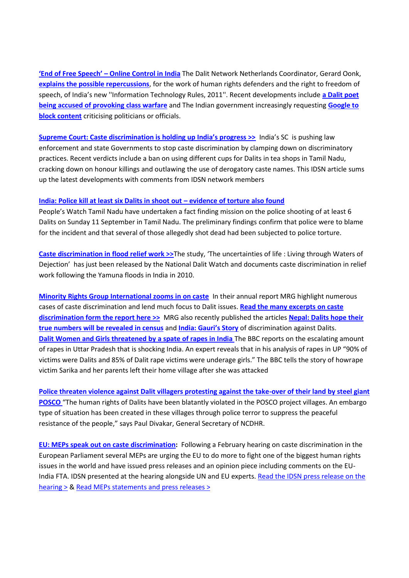**'End of Free Speech' – [Online Control in India](http://www.indianet.nl/a110616.html)** The Dalit Network Netherlands Coordinator, Gerard Oonk, **[explains the possible repercussions](http://www.indianet.nl/a110616.html)**, for the work of human rights defenders and the right to freedom of speech, of India's new ''Information Technology Rules, 2011''. Recent developments include **[a Dalit poet](http://uprisingradio.org/home/?p=21684)  [being accused of provoking class warfare](http://uprisingradio.org/home/?p=21684)** and The Indian government increasingly requesting **[Google to](http://southasia.oneworld.net/todaysheadlines/indian-government-asked-to-block-critical-content-from-google)  [block content](http://southasia.oneworld.net/todaysheadlines/indian-government-asked-to-block-critical-content-from-google)** criticising politicians or officials.

**[Supreme Court: Caste discrimination is holding up India's progress >>](http://idsn.org/news-resources/idsn-news/read/article/supreme-court-caste-discrimination-is-holding-up-indias-progress/128/)** India's SC is pushing law enforcement and state Governments to stop caste discrimination by clamping down on discriminatory practices. Recent verdicts include a ban on using different cups for Dalits in tea shops in Tamil Nadu, cracking down on honour killings and outlawing the use of derogatory caste names. This IDSN article sums up the latest developments with comments from IDSN network members

## **[India: Police kill at least six Dalits in shoot out](http://idsn.org/news-resources/idsn-news/read/article/police-kill-at-least-six-dalits-in-shoot-out-evidence-of-torture-also-found/128/) – evidence of torture also found**

People's Watch Tamil Nadu have undertaken a fact finding mission on the police shooting of at least 6 Dalits on Sunday 11 September in Tamil Nadu. The preliminary findings confirm that police were to blame for the incident and that several of those allegedly shot dead had been subjected to police torture.

**[Caste discrimination in flood relief work >>](http://idsn.org/news-resources/publications/publications-may-2011/)**The study, 'The uncertainties of life : Living through Waters of Dejection' has just been released by the National Dalit Watch and documents caste discrimination in relief work following the Yamuna floods in India in 2010.

**[Minority Rights Group International zooms in on caste](http://www.idsn.org/fileadmin/user_folder/pdf/New_files/Publications_from_network/MRG2011Report_and_Press_Excerpts.pdf)** In their annual report MRG highlight numerous cases of caste discrimination and lend much focus to Dalit issues. **[Read the many excerpts on caste](http://www.idsn.org/fileadmin/user_folder/pdf/New_files/Publications_from_network/MRG2011Report_and_Press_Excerpts.pdf)  [discrimination form the report here >>](http://www.idsn.org/fileadmin/user_folder/pdf/New_files/Publications_from_network/MRG2011Report_and_Press_Excerpts.pdf)** MRG also recently published the articles **[Nepal: Dalits hope their](http://www.minorityvoices.org/news.php/en/769/nepal-dalits-hope-their-true-numbers-will-be-revealed-in-census)  [true numbers will be revealed in census](http://www.minorityvoices.org/news.php/en/769/nepal-dalits-hope-their-true-numbers-will-be-revealed-in-census)** and **[India: Gauri's Story](http://www.minorityvoices.org/news.php/en/781/india-gauris-story)** of discrimination against Dalits. **[Dalit Women and Girls threatened by a spate of rapes in India](http://www.bbc.co.uk/news/world-south-asia-14058814)** The BBC reports on the escalating amount of rapes in Uttar Pradesh that is shocking India. An expert reveals that in his analysis of rapes in UP "90% of victims were Dalits and 85% of Dalit rape victims were underage girls." The BBC tells the story of howrape victim Sarika and her parents left their home village after she was attacked

**[Police threaten violence against Dalit villagers protesting against the take-over of their land by steel giant](http://idsn.org/news-resources/idsn-news/read/article/urgent-need-to-protect-human-rights-of-posco-affected-villagers/128/)  [POSCO](http://idsn.org/news-resources/idsn-news/read/article/urgent-need-to-protect-human-rights-of-posco-affected-villagers/128/)** "The human rights of Dalits have been blatantly violated in the POSCO project villages. An embargo type of situation has been created in these villages through police terror to suppress the peaceful resistance of the people," says Paul Divakar, General Secretary of NCDHR.

**EU: MEPs speak out [on caste discrimination:](http://www.idsn.org/news-resources/idsn-news/read/article/members-of-the-european-parliament-speak-out-against-caste-discrimination/128/)** Following a February hearing on caste discrimination in the European Parliament several MEPs are urging the EU to do more to fight one of the biggest human rights issues in the world and have issued press releases and an opinion piece including comments on the EU-India FTA. IDSN presented at the hearing alongside UN and EU experts. Read the IDSN press release on the [hearing >](http://idsn.org/news-resources/idsn-news/read/article/meps-the-eu-must-act-now-to-help-end-one-of-the-biggest-human-rights-issues-in-the-world/128/) & [Read MEPs statements and](http://www.idsn.org/news-resources/idsn-news/read/article/members-of-the-european-parliament-speak-out-against-caste-discrimination/128/) press releases >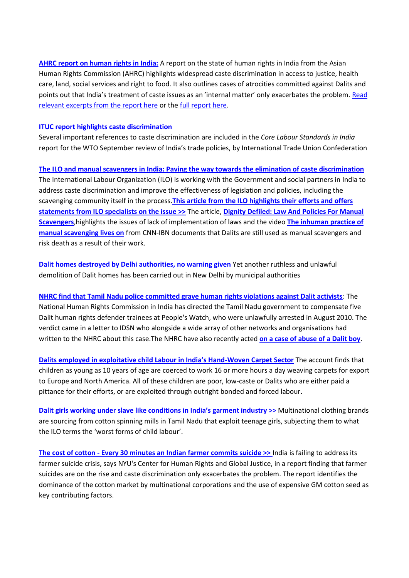**[AHRC report on human rights in India:](http://idsn.org/fileadmin/user_folder/pdf/New_files/India/Extracts_AHRC_India_Report_2010.pdf)** A report on the state of human rights in India from the Asian Human Rights Commission (AHRC) highlights widespread caste discrimination in access to justice, health care, land, social services and right to food. It also outlines cases of atrocities committed against Dalits and points out that India's treatment of caste issues as an 'internal matter' only exacerbates the problem. [Read](http://idsn.org/fileadmin/user_folder/pdf/New_files/India/Extracts_AHRC_India_Report_2010.pdf)  [relevant excerpts from the report here](http://idsn.org/fileadmin/user_folder/pdf/New_files/India/Extracts_AHRC_India_Report_2010.pdf) or the [full report here.](http://idsn.org/fileadmin/user_folder/pdf/New_files/India/AHRC-India_HR_2010_Report.pdf)

## **[ITUC report highlights caste discrimination](http://idsn.org/news-resources/idsn-news/read/article/ituc-report-highlights-caste-discrimination/128/)**

Several important references to caste discrimination are included in the *Core Labour Standards in India*  report for the WTO September review of India's trade policies, by International Trade Union Confederation

**[The ILO and manual scavengers in India: Paving the way towards the elimination of caste discrimination](http://idsn.org/news-resources/idsn-news/read/article/the-ilo-and-manual-scavengers-in-india-paving-the-way-towards-the-elimination-of-caste-discriminati/128/)** The International Labour Organization (ILO) is working with the Government and social partners in India to address caste discrimination and improve the effectiveness of legislation and policies, including the scavenging community itself in the process.**[This article from the ILO highlights their efforts and offers](http://www.ilo.org/global/about-the-ilo/press-and-media-centre/insight/WCMS_159813/lang--en/index.htm)  [statements from ILO specialists on the issue >>](http://www.ilo.org/global/about-the-ilo/press-and-media-centre/insight/WCMS_159813/lang--en/index.htm)** The article, **[Dignity Defiled: Law And Policies For Manual](http://www.countercurrents.org/chaudhary190811.htm)  [Scavengers](http://www.countercurrents.org/chaudhary190811.htm)**,highlights the issues of lack of implementation of laws and the video **[The inhuman practice of](http://ibnlive.in.com/news/though-illegal-manual-scavenging-continues/175499-3.html)  [manual scavenging lives on](http://ibnlive.in.com/news/though-illegal-manual-scavenging-continues/175499-3.html)** from CNN-IBN documents that Dalits are still used as manual scavengers and risk death as a result of their work.

**[Dalit homes destroyed by Delhi authorities, no warning given](http://ireport.cnn.com/docs/DOC-650225)** Yet another ruthless and unlawful demolition of Dalit homes has been carried out in New Delhi by municipal authorities

**[NHRC find that Tamil Nadu police committed grave human rights violations against Dalit activists](http://idsn.org/news-resources/idsn-news/read/article/nhrc-find-that-tamil-nadu-police-committed-grave-human-rights-violations-against-dalit-activists/128/)**: The National Human Rights Commission in India has directed the Tamil Nadu government to compensate five Dalit human rights defender trainees at People's Watch, who were unlawfully arrested in August 2010. The verdict came in a letter to IDSN who alongside a wide array of other networks and organisations had written to the NHRC about this case.The NHRC have also recently acted **[on a case of abuse of a Dalit boy](http://www.google.com/url?sa=X&q=http://www.thehindu.com/news/states/tamil-nadu/article2112849.ece&ct=ga&cad=CAEQAhgAIAAoATAAOABAsbHw7wRIAVAAWABiAmVu&cd=AmhYVJmd9TE&usg=AFQjCNGUBuUYdeRn-ayfO-NnOnJqaWISOA)**.

**[Dalits employed in exploitative child Labour in India's Hand](http://www.goodweave.org/index.php?cid=125)-Woven Carpet Sector** The account finds that children as young as 10 years of age are coerced to work 16 or more hours a day weaving carpets for export to Europe and North America. All of these children are poor, low-caste or Dalits who are either paid a pittance for their efforts, or are exploited through outright bonded and forced labour.

**[Dalit girls working under slave like conditions in India's garment indu](http://idsn.org/news-resources/idsn-news/read/article/dalit-girls-working-under-slave-like-conditions-in-indias-garment-industry/128/)stry >>** Multinational clothing brands are sourcing from cotton spinning mills in Tamil Nadu that exploit teenage girls, subjecting them to what the ILO terms the 'worst forms of child labour'.

**The cost of cotton - [Every 30 minutes an Indian farmer commits suicide >>](http://idsn.org/news-resources/idsn-news/read/article/the-cost-of-cotton-every-30-minutes-an-indian-farmer-commits-suicide/128/)** India is failing to address its farmer suicide crisis, says NYU's Center for Human Rights and Global Justice, in a report finding that farmer suicides are on the rise and caste discrimination only exacerbates the problem. The report identifies the dominance of the cotton market by multinational corporations and the use of expensive GM cotton seed as key contributing factors.